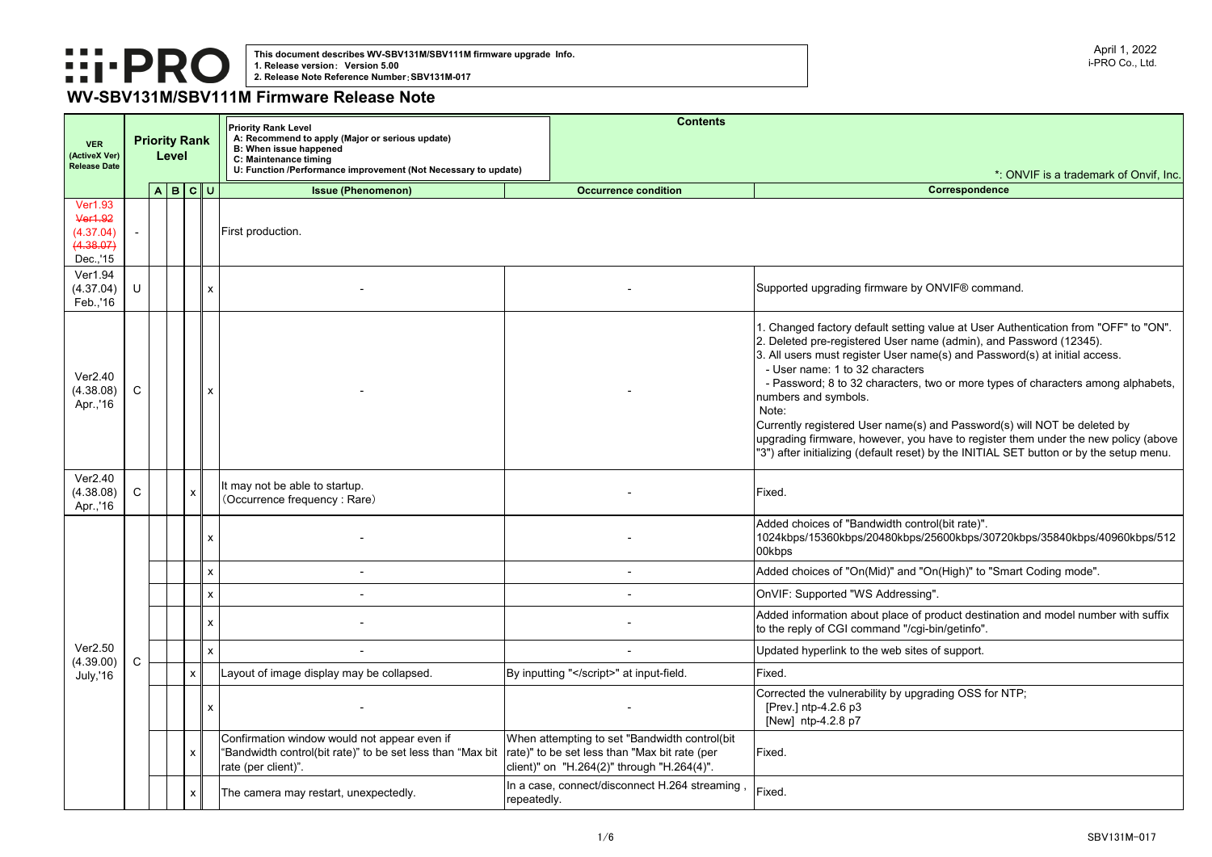ontrol(bit rate)". 1024kbps/15360kbps/20480kbps/25600kbps/30720kbps/35840kbps/40960kbps/512

d "On(High)" to "Smart Coding mode".

 $sing"$ .

of product destination and model number with suffix cgi-bin/getinfo".

ites of support.

pgrading OSS for NTP;

|                                                                 |              |                               |              |   | <b>Priority Rank Level</b>                                                                                                                                                  | <b>Contents</b>                                                                                                                              |                                                                                                                                                                                                                                                                                                                                                |  |
|-----------------------------------------------------------------|--------------|-------------------------------|--------------|---|-----------------------------------------------------------------------------------------------------------------------------------------------------------------------------|----------------------------------------------------------------------------------------------------------------------------------------------|------------------------------------------------------------------------------------------------------------------------------------------------------------------------------------------------------------------------------------------------------------------------------------------------------------------------------------------------|--|
| <b>VER</b><br>(ActiveX Ver)<br><b>Release Date</b>              |              | <b>Priority Rank</b><br>Level |              |   | A: Recommend to apply (Major or serious update)<br><b>B: When issue happened</b><br>C: Maintenance timing<br>U: Function /Performance improvement (Not Necessary to update) |                                                                                                                                              |                                                                                                                                                                                                                                                                                                                                                |  |
|                                                                 |              | A B C  U                      |              |   | <b>Issue (Phenomenon)</b>                                                                                                                                                   | <b>Occurrence condition</b>                                                                                                                  |                                                                                                                                                                                                                                                                                                                                                |  |
| <b>Ver1.93</b><br>Ver1.92<br>(4.37.04)<br>(4.38.07)<br>Dec.,'15 |              |                               |              |   | First production.                                                                                                                                                           |                                                                                                                                              |                                                                                                                                                                                                                                                                                                                                                |  |
| Ver1.94<br>(4.37.04)<br>Feb.,'16                                | U            |                               |              | X |                                                                                                                                                                             |                                                                                                                                              | Supported upgrading firmware by                                                                                                                                                                                                                                                                                                                |  |
| Ver2.40<br>(4.38.08)<br>Apr.,'16                                | $\mathsf{C}$ |                               |              | X |                                                                                                                                                                             |                                                                                                                                              | 1. Changed factory default setting<br>2. Deleted pre-registered User na<br>3. All users must register User na<br>- User name: 1 to 32 characters<br>- Password; 8 to 32 characters,<br>numbers and symbols.<br>Note:<br><b>Currently registered User name(s</b><br>upgrading firmware, however, you<br>"3") after initializing (default reset) |  |
| Ver2.40<br>(4.38.08)<br>Apr.,'16                                | $\mathsf{C}$ |                               | X            |   | It may not be able to startup.<br>(Occurrence frequency: Rare)                                                                                                              |                                                                                                                                              | Fixed.                                                                                                                                                                                                                                                                                                                                         |  |
|                                                                 |              |                               |              | X |                                                                                                                                                                             |                                                                                                                                              | Added choices of "Bandwidth con<br>1024kbps/15360kbps/20480kbps/<br>00kbps                                                                                                                                                                                                                                                                     |  |
|                                                                 |              |                               |              | х |                                                                                                                                                                             |                                                                                                                                              | Added choices of "On(Mid)" and "                                                                                                                                                                                                                                                                                                               |  |
|                                                                 |              |                               |              | X |                                                                                                                                                                             |                                                                                                                                              | OnVIF: Supported "WS Addressir                                                                                                                                                                                                                                                                                                                 |  |
|                                                                 |              |                               |              | X |                                                                                                                                                                             |                                                                                                                                              | Added information about place of<br>to the reply of CGI command "/cg                                                                                                                                                                                                                                                                           |  |
| Ver2.50<br>(4.39.00)                                            | $\mathsf{C}$ |                               |              | X |                                                                                                                                                                             |                                                                                                                                              | Updated hyperlink to the web site                                                                                                                                                                                                                                                                                                              |  |
| <b>July,'16</b>                                                 |              |                               | X            |   | Layout of image display may be collapsed.                                                                                                                                   | By inputting "" at input-field.                                                                                                              | Fixed.                                                                                                                                                                                                                                                                                                                                         |  |
|                                                                 |              |                               |              | X |                                                                                                                                                                             |                                                                                                                                              | Corrected the vulnerability by upg<br>[Prev.] ntp-4.2.6 p3<br>[New] ntp-4.2.8 p7                                                                                                                                                                                                                                                               |  |
|                                                                 |              |                               | X.           |   | Confirmation window would not appear even if<br>"Bandwidth control(bit rate)" to be set less than "Max bit<br>rate (per client)".                                           | When attempting to set "Bandwidth control(bit<br>rate)" to be set less than "Max bit rate (per<br>client)" on "H.264(2)" through "H.264(4)". | Fixed.                                                                                                                                                                                                                                                                                                                                         |  |
|                                                                 |              |                               | $\mathsf{x}$ |   | The camera may restart, unexpectedly.                                                                                                                                       | In a case, connect/disconnect H.264 streaming<br>repeatedly.                                                                                 | Fixed.                                                                                                                                                                                                                                                                                                                                         |  |

# **WV-SBV131M/SBV111M Firmware Release Note**

**Correspondence**

by ONVIF® command.

ing value at User Authentication from "OFF" to "ON". name (admin), and Password (12345). name(s) and Password(s) at initial access.

rs, two or more types of characters among alphabets,

 $E(s)$  and Password(s) will NOT be deleted by you have to register them under the new policy (above et) by the INITIAL SET button or by the setup menu.

\*: ONVIF is a trademark of Onvif, Inc.

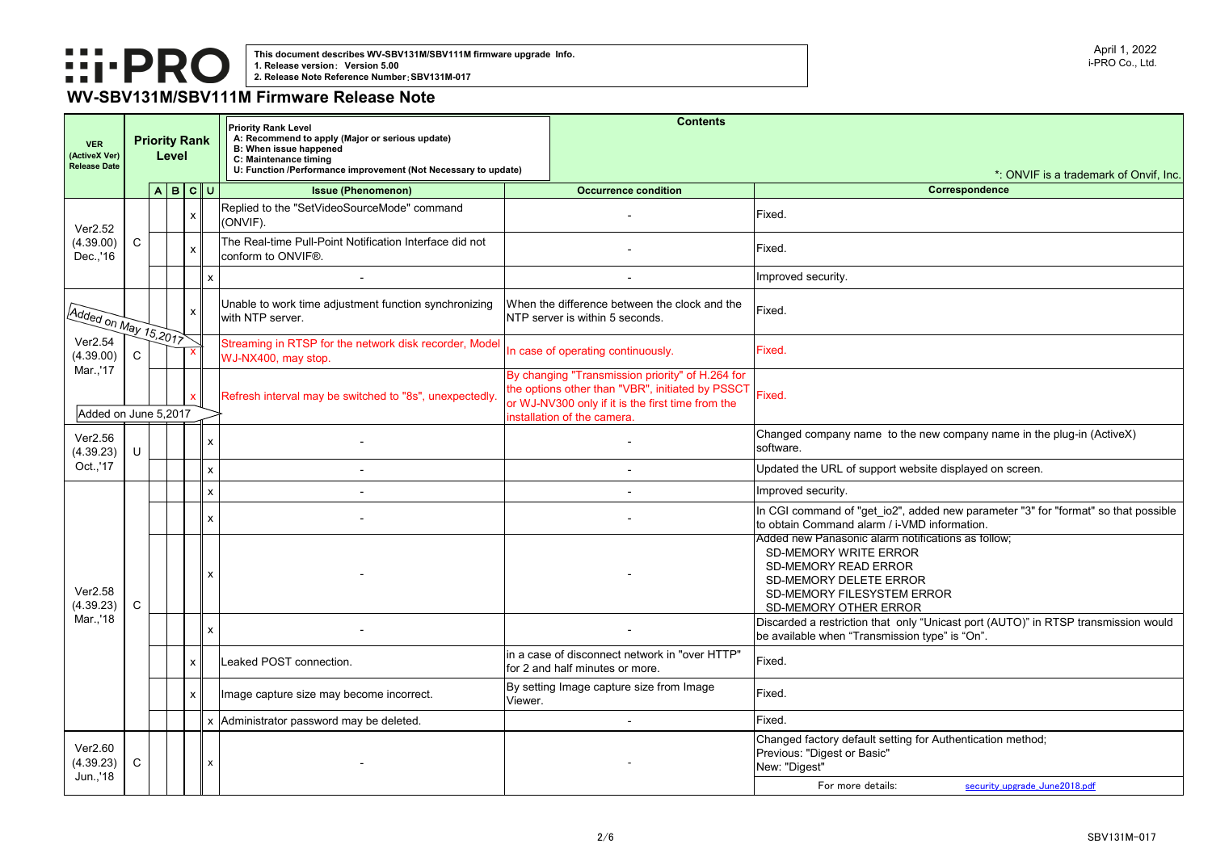**::i.PRO** 

**This document describes WV-SBV131M/SBV111M firmware upgrade Info. 1. Release version**: **Version 5.00 2. Release Note Reference Number**:**SBV131M-017**

| *: ONVIF is a trademark of Onvif, Inc.                                                                                                                                                  |
|-----------------------------------------------------------------------------------------------------------------------------------------------------------------------------------------|
| <b>Correspondence</b>                                                                                                                                                                   |
| Fixed.                                                                                                                                                                                  |
| Fixed.                                                                                                                                                                                  |
| Improved security.                                                                                                                                                                      |
| Fixed.                                                                                                                                                                                  |
| Fixed.                                                                                                                                                                                  |
| Fixed.                                                                                                                                                                                  |
| Changed company name to the new company name in the plug-in (ActiveX)<br>software.                                                                                                      |
| Updated the URL of support website displayed on screen.                                                                                                                                 |
| Improved security.                                                                                                                                                                      |
| In CGI command of "get io2", added new parameter "3" for "format" so that possible<br>to obtain Command alarm / i-VMD information.                                                      |
| Added new Panasonic alarm notifications as follow;<br><b>SD-MEMORY WRITE ERROR</b><br><b>SD-MEMORY READ ERROR</b><br><b>SD-MEMORY DELETE ERROR</b><br><b>SD-MEMORY FILESYSTEM ERROR</b> |
| <b>SD-MEMORY OTHER ERROR</b>                                                                                                                                                            |
| Discarded a restriction that only "Unicast port (AUTO)" in RTSP transmission would<br>be available when "Transmission type" is "On".                                                    |
| Fixed.                                                                                                                                                                                  |
| Fixed.                                                                                                                                                                                  |
| Fixed.                                                                                                                                                                                  |
| Changed factory default setting for Authentication method;<br>Previous: "Digest or Basic"                                                                                               |

[security\\_upgrade\\_June2018.pdf](https://www.psn-web.net/ssbu-t/Support/security_upgrade_June2018.pdf#)

| <b>VER</b><br>(ActiveX Ver)<br><b>Release Date</b> |              | <b>Priority Rank</b><br>Level |                           | <b>Priority Rank Level</b><br>A: Recommend to apply (Major or serious update)<br><b>B:</b> When issue happened<br>C: Maintenance timing<br>U: Function /Performance improvement (Not Necessary to update) |         | <b>Contents</b>                                                                                                                                                                                   | *: ONVIF i                                                                                                                                                                                                              |
|----------------------------------------------------|--------------|-------------------------------|---------------------------|-----------------------------------------------------------------------------------------------------------------------------------------------------------------------------------------------------------|---------|---------------------------------------------------------------------------------------------------------------------------------------------------------------------------------------------------|-------------------------------------------------------------------------------------------------------------------------------------------------------------------------------------------------------------------------|
|                                                    |              | A B C  U                      |                           | <b>Issue (Phenomenon)</b>                                                                                                                                                                                 |         | <b>Occurrence condition</b>                                                                                                                                                                       | <b>Correspondence</b>                                                                                                                                                                                                   |
| Ver2.52                                            |              |                               | $\boldsymbol{\mathsf{x}}$ | Replied to the "SetVideoSourceMode" command<br>(ONVIF).                                                                                                                                                   |         |                                                                                                                                                                                                   | Fixed.                                                                                                                                                                                                                  |
| (4.39.00)<br>Dec.,'16                              | $\mathsf{C}$ |                               | $\mathsf{x}$              | The Real-time Pull-Point Notification Interface did not<br>conform to ONVIF®.                                                                                                                             |         |                                                                                                                                                                                                   | Fixed.                                                                                                                                                                                                                  |
|                                                    |              |                               |                           |                                                                                                                                                                                                           |         |                                                                                                                                                                                                   | Improved security.                                                                                                                                                                                                      |
| Added on May 15,2017                               |              |                               | $\mathsf{x}$              | Unable to work time adjustment function synchronizing<br>with NTP server.                                                                                                                                 |         | When the difference between the clock and the<br>NTP server is within 5 seconds.                                                                                                                  | Fixed.                                                                                                                                                                                                                  |
| (4.39.00)                                          | $\mathsf{C}$ |                               |                           | Streaming in RTSP for the network disk recorder, Model<br>WJ-NX400, may stop.                                                                                                                             |         | In case of operating continuously.                                                                                                                                                                | Fixed.                                                                                                                                                                                                                  |
| Mar.,'17<br>Added on June 5,2017                   |              |                               | $\mathbf{X}$              | Refresh interval may be switched to "8s", unexpectedly.                                                                                                                                                   |         | By changing "Transmission priority" of H.264 for<br>the options other than "VBR", initiated by PSSCT<br>Fixed.<br>or WJ-NV300 only if it is the first time from the<br>installation of the camera |                                                                                                                                                                                                                         |
| Ver2.56<br>(4.39.23)                               | U            |                               |                           |                                                                                                                                                                                                           |         |                                                                                                                                                                                                   | Changed company name to the new company name in the<br>software.                                                                                                                                                        |
| Oct.,'17                                           |              |                               | X                         |                                                                                                                                                                                                           |         |                                                                                                                                                                                                   | Updated the URL of support website displayed on screen.                                                                                                                                                                 |
|                                                    |              |                               | X                         |                                                                                                                                                                                                           |         | ۰                                                                                                                                                                                                 | Improved security.                                                                                                                                                                                                      |
|                                                    | C            |                               |                           |                                                                                                                                                                                                           |         |                                                                                                                                                                                                   | In CGI command of "get_io2", added new parameter "3" fo<br>to obtain Command alarm / i-VMD information.                                                                                                                 |
| Ver2.58<br>(4.39.23)                               |              |                               |                           |                                                                                                                                                                                                           |         |                                                                                                                                                                                                   | Added new Panasonic alarm notifications as follow;<br><b>SD-MEMORY WRITE ERROR</b><br><b>SD-MEMORY READ ERROR</b><br><b>SD-MEMORY DELETE ERROR</b><br><b>SD-MEMORY FILESYSTEM ERROR</b><br><b>SD-MEMORY OTHER ERROR</b> |
| Mar.,'18                                           |              |                               |                           |                                                                                                                                                                                                           |         |                                                                                                                                                                                                   | Discarded a restriction that only "Unicast port (AUTO)" in I<br>be available when "Transmission type" is "On".                                                                                                          |
|                                                    |              |                               | $\boldsymbol{\mathsf{x}}$ | Leaked POST connection.                                                                                                                                                                                   |         | in a case of disconnect network in "over HTTP"<br>for 2 and half minutes or more.                                                                                                                 | Fixed.                                                                                                                                                                                                                  |
|                                                    |              |                               | $\mathsf{x}$              | Image capture size may become incorrect.                                                                                                                                                                  | Viewer. | By setting Image capture size from Image                                                                                                                                                          | Fixed.                                                                                                                                                                                                                  |
|                                                    |              |                               |                           | x Administrator password may be deleted.                                                                                                                                                                  |         |                                                                                                                                                                                                   | Fixed.                                                                                                                                                                                                                  |
| Ver2.60<br>(4.39.23)<br>Jun.,'18                   | C            |                               |                           |                                                                                                                                                                                                           |         |                                                                                                                                                                                                   | Changed factory default setting for Authentication method;<br>Previous: "Digest or Basic"<br>New: "Digest"                                                                                                              |
|                                                    |              |                               |                           |                                                                                                                                                                                                           |         |                                                                                                                                                                                                   | For more details:<br>security_upgrade_J                                                                                                                                                                                 |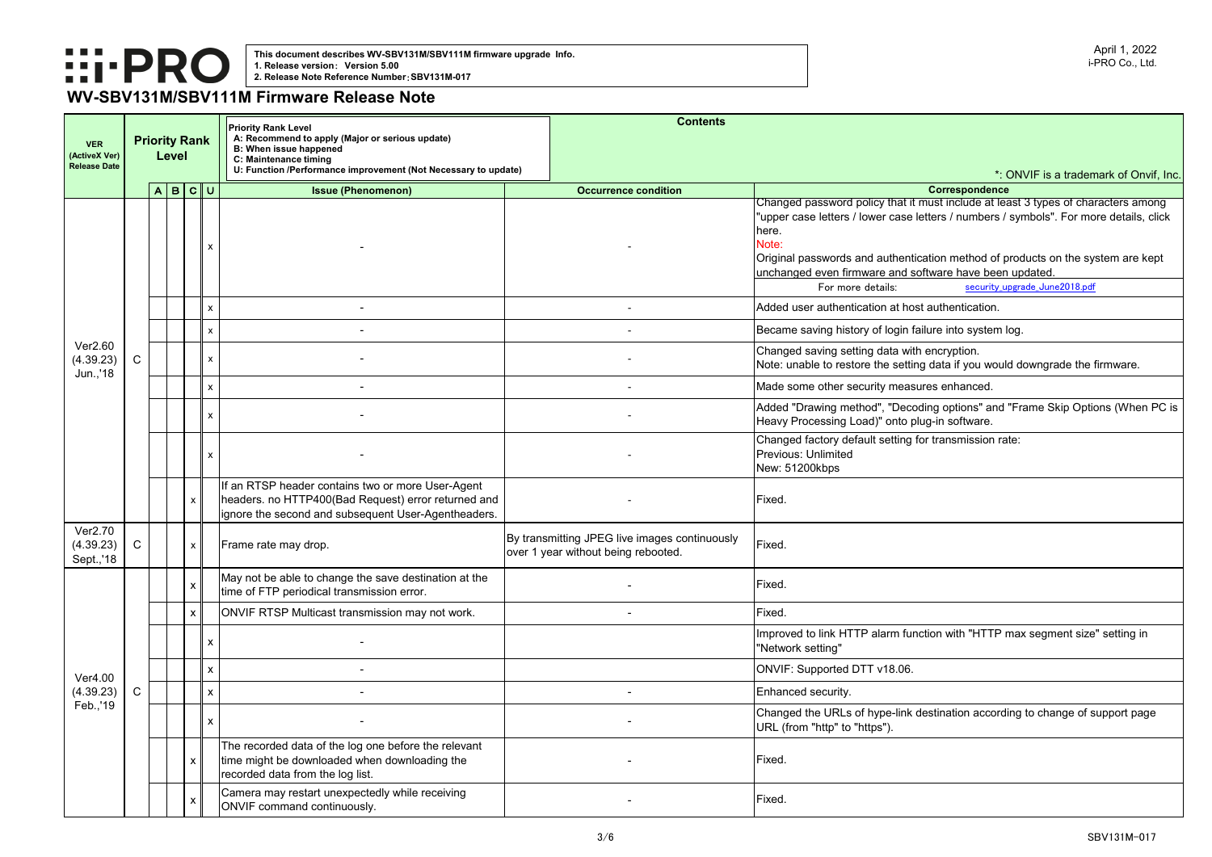**Correspondence**

it must include at least 3 types of characters among letters / numbers / symbols". For more details, click

tication method of products on the system are kept software have been updated.

security upgrade June2018.pdf

ost authentication.

failure into system log.

ith encryption.

ing data if you would downgrade the firmware.

sures enhanced.

coding options" and "Frame Skip Options (When PC is plug-in software.

for transmission rate:

 $\frac{1}{\pi}$  Inction with "HTTP max segment size" setting in

 $\alpha$  destination according to change of support page

#### \*: ONVIF is a trademark of Onvif, Inc.



| <b>VER</b><br>(ActiveX Ver)<br><b>Release Date</b> |              | <b>Priority Rank Level</b><br>A: Recommend to apply (Major or serious update)<br><b>Priority Rank</b><br><b>B: When issue happened</b><br>Level<br>C: Maintenance timing<br>U: Function /Performance improvement (Not Necessary to update) |          |                           |   |                                                                                                                                                                 |  | <b>Contents</b>                                                                      |                                                                                                                                                                               |  |  |
|----------------------------------------------------|--------------|--------------------------------------------------------------------------------------------------------------------------------------------------------------------------------------------------------------------------------------------|----------|---------------------------|---|-----------------------------------------------------------------------------------------------------------------------------------------------------------------|--|--------------------------------------------------------------------------------------|-------------------------------------------------------------------------------------------------------------------------------------------------------------------------------|--|--|
|                                                    |              |                                                                                                                                                                                                                                            | A B C  U |                           |   | <b>Issue (Phenomenon)</b>                                                                                                                                       |  | <b>Occurrence condition</b>                                                          |                                                                                                                                                                               |  |  |
|                                                    |              |                                                                                                                                                                                                                                            |          |                           | х |                                                                                                                                                                 |  |                                                                                      | Changed password policy that i<br>"upper case letters / lower case<br>There.<br>Note:<br>Original passwords and authent<br>unchanged even firmware and s<br>For more details: |  |  |
|                                                    |              |                                                                                                                                                                                                                                            |          |                           | X |                                                                                                                                                                 |  |                                                                                      | Added user authentication at ho                                                                                                                                               |  |  |
|                                                    |              |                                                                                                                                                                                                                                            |          |                           | X |                                                                                                                                                                 |  |                                                                                      | Became saving history of login                                                                                                                                                |  |  |
| Ver2.60<br>(4.39.23)<br>Jun.,'18                   | $\mathsf{C}$ |                                                                                                                                                                                                                                            |          |                           | x |                                                                                                                                                                 |  |                                                                                      | Changed saving setting data wi<br>Note: unable to restore the setti                                                                                                           |  |  |
|                                                    |              |                                                                                                                                                                                                                                            |          |                           | X |                                                                                                                                                                 |  |                                                                                      | Made some other security meas                                                                                                                                                 |  |  |
|                                                    |              |                                                                                                                                                                                                                                            |          |                           | X |                                                                                                                                                                 |  |                                                                                      | Added "Drawing method", "Dec<br>Heavy Processing Load)" onto p                                                                                                                |  |  |
|                                                    |              |                                                                                                                                                                                                                                            |          |                           | X |                                                                                                                                                                 |  |                                                                                      | Changed factory default setting<br>Previous: Unlimited<br>New: 51200kbps                                                                                                      |  |  |
|                                                    |              |                                                                                                                                                                                                                                            |          | X                         |   | If an RTSP header contains two or more User-Agent<br>headers. no HTTP400(Bad Request) error returned and<br>ignore the second and subsequent User-Agentheaders. |  |                                                                                      | Fixed.                                                                                                                                                                        |  |  |
| Ver2.70<br>(4.39.23)<br>Sept.,'18                  | $\mathsf{C}$ |                                                                                                                                                                                                                                            |          | $\mathsf{x}$              |   | Frame rate may drop.                                                                                                                                            |  | By transmitting JPEG live images continuously<br>over 1 year without being rebooted. | Fixed.                                                                                                                                                                        |  |  |
|                                                    |              |                                                                                                                                                                                                                                            |          | X                         |   | May not be able to change the save destination at the<br>time of FTP periodical transmission error.                                                             |  |                                                                                      | Fixed.                                                                                                                                                                        |  |  |
|                                                    |              |                                                                                                                                                                                                                                            |          | $\boldsymbol{\mathsf{x}}$ |   | ONVIF RTSP Multicast transmission may not work.                                                                                                                 |  |                                                                                      | Fixed.                                                                                                                                                                        |  |  |
|                                                    |              |                                                                                                                                                                                                                                            |          |                           | X |                                                                                                                                                                 |  |                                                                                      | Improved to link HTTP alarm fu<br>"Network setting"                                                                                                                           |  |  |
| Ver4.00                                            |              |                                                                                                                                                                                                                                            |          |                           | X |                                                                                                                                                                 |  |                                                                                      | ONVIF: Supported DTT v18.06.                                                                                                                                                  |  |  |
| (4.39.23)<br>Feb.,'19                              | $\mathsf{C}$ |                                                                                                                                                                                                                                            |          |                           | X |                                                                                                                                                                 |  |                                                                                      | Enhanced security.                                                                                                                                                            |  |  |
|                                                    |              |                                                                                                                                                                                                                                            |          |                           | x |                                                                                                                                                                 |  |                                                                                      | Changed the URLs of hype-link<br>URL (from "http" to "https").                                                                                                                |  |  |
|                                                    |              |                                                                                                                                                                                                                                            |          | X                         |   | The recorded data of the log one before the relevant<br>time might be downloaded when downloading the<br>recorded data from the log list.                       |  |                                                                                      | Fixed.                                                                                                                                                                        |  |  |
|                                                    |              |                                                                                                                                                                                                                                            | X        |                           |   | Camera may restart unexpectedly while receiving<br>ONVIF command continuously.                                                                                  |  |                                                                                      | Fixed.                                                                                                                                                                        |  |  |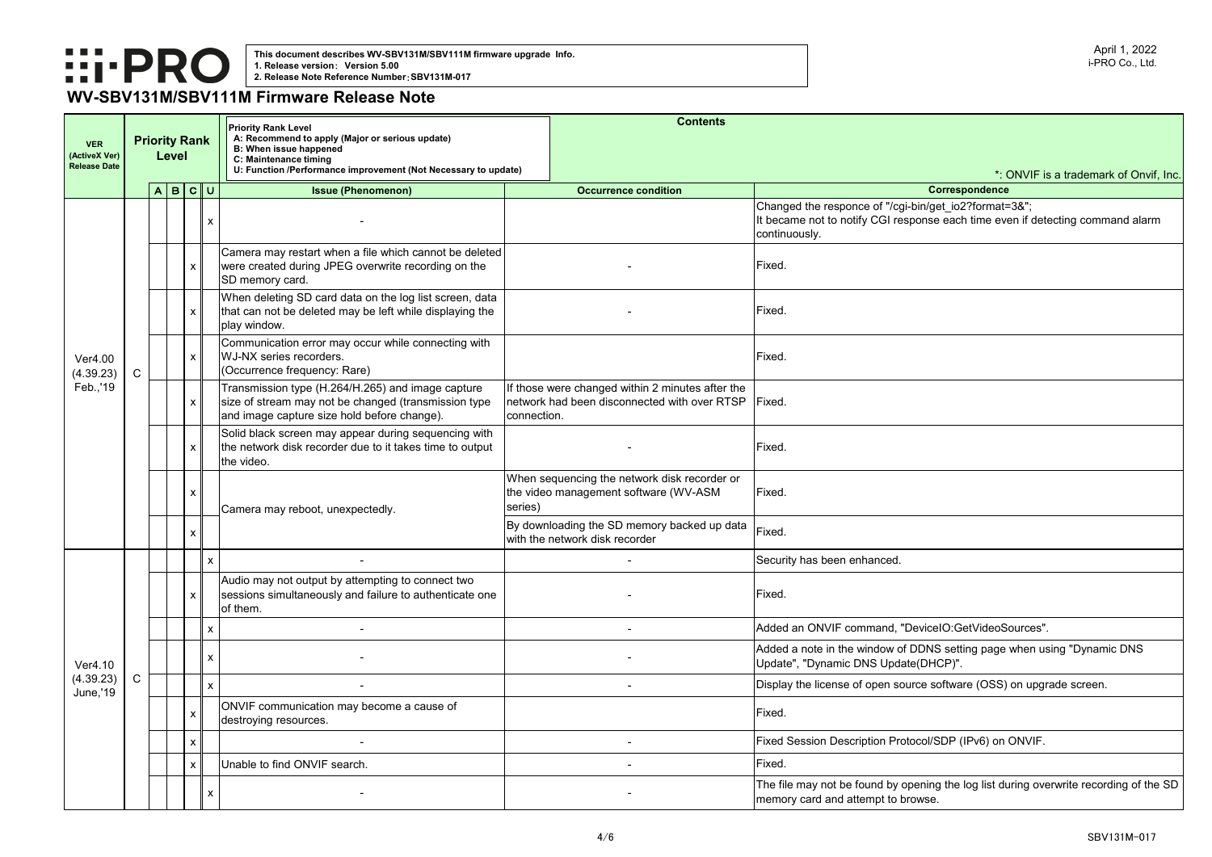

| <b>VER</b><br>(ActiveX Ver)<br><b>Release Date</b> |              | <b>Priority Rank</b><br>Level |              |              | <b>Priority Rank Level</b><br>A: Recommend to apply (Major or serious update)<br><b>B: When issue happened</b><br>C: Maintenance timing<br>U: Function /Performance improvement (Not Necessary to update) |             | <b>Contents</b>                                                                                  | *: ONVIF is                                                                                                                           |
|----------------------------------------------------|--------------|-------------------------------|--------------|--------------|-----------------------------------------------------------------------------------------------------------------------------------------------------------------------------------------------------------|-------------|--------------------------------------------------------------------------------------------------|---------------------------------------------------------------------------------------------------------------------------------------|
|                                                    |              |                               | A B C  U     |              | <b>Issue (Phenomenon)</b>                                                                                                                                                                                 |             | <b>Occurrence condition</b>                                                                      | <b>Correspondence</b>                                                                                                                 |
|                                                    |              |                               |              | X.           |                                                                                                                                                                                                           |             |                                                                                                  | Changed the responce of "/cgi-bin/get_io2?format=3&";<br>It became not to notify CGI response each time even if dete<br>continuously. |
|                                                    |              |                               | $\mathsf{X}$ |              | Camera may restart when a file which cannot be deleted<br>were created during JPEG overwrite recording on the<br>SD memory card.                                                                          |             |                                                                                                  | Fixed.                                                                                                                                |
|                                                    |              |                               | $\mathsf{X}$ |              | When deleting SD card data on the log list screen, data<br>that can not be deleted may be left while displaying the<br>play window.                                                                       |             |                                                                                                  | Fixed.                                                                                                                                |
| Ver4.00<br>(4.39.23)<br>Feb.,'19                   | $\mathsf{C}$ |                               | $\mathsf{x}$ |              | Communication error may occur while connecting with<br>WJ-NX series recorders.<br>(Occurrence frequency: Rare)                                                                                            |             |                                                                                                  | Fixed.                                                                                                                                |
|                                                    |              |                               | $\mathsf{X}$ |              | Transmission type (H.264/H.265) and image capture<br>size of stream may not be changed (transmission type<br>and image capture size hold before change).                                                  | connection. | If those were changed within 2 minutes after the<br>network had been disconnected with over RTSP | Fixed.                                                                                                                                |
|                                                    |              |                               | $\mathsf{x}$ |              | Solid black screen may appear during sequencing with<br>the network disk recorder due to it takes time to output<br>the video.                                                                            |             |                                                                                                  | Fixed.                                                                                                                                |
|                                                    |              | $\boldsymbol{\mathsf{x}}$     |              |              | Camera may reboot, unexpectedly.                                                                                                                                                                          | series)     | When sequencing the network disk recorder or<br>the video management software (WV-ASM            | Fixed.                                                                                                                                |
|                                                    |              |                               | $\mathsf{x}$ |              |                                                                                                                                                                                                           |             | By downloading the SD memory backed up data<br>with the network disk recorder                    | Fixed.                                                                                                                                |
|                                                    |              |                               |              | $\mathsf{x}$ |                                                                                                                                                                                                           |             |                                                                                                  | Security has been enhanced.                                                                                                           |
|                                                    |              |                               | X            |              | Audio may not output by attempting to connect two<br>sessions simultaneously and failure to authenticate one<br>of them.                                                                                  |             |                                                                                                  | Fixed.                                                                                                                                |
|                                                    |              |                               |              | X            |                                                                                                                                                                                                           |             |                                                                                                  | Added an ONVIF command, "DeviceIO:GetVideoSources".                                                                                   |
| Ver4.10                                            |              |                               |              | X.           |                                                                                                                                                                                                           |             |                                                                                                  | Added a note in the window of DDNS setting page when us<br>Update", "Dynamic DNS Update(DHCP)".                                       |
| (4.39.23)                                          |              |                               |              | X            |                                                                                                                                                                                                           |             |                                                                                                  | Display the license of open source software (OSS) on upgr                                                                             |
| <b>June,'19</b>                                    |              |                               | X            |              | ONVIF communication may become a cause of<br>destroying resources.                                                                                                                                        |             |                                                                                                  | Fixed.                                                                                                                                |
|                                                    |              | $\boldsymbol{\mathsf{x}}$     |              |              |                                                                                                                                                                                                           |             |                                                                                                  | Fixed Session Description Protocol/SDP (IPv6) on ONVIF.                                                                               |
|                                                    |              |                               | $\mathsf{x}$ |              | Unable to find ONVIF search.                                                                                                                                                                              |             |                                                                                                  | Fixed.                                                                                                                                |
|                                                    |              |                               |              | X.           |                                                                                                                                                                                                           |             |                                                                                                  | The file may not be found by opening the log list during ove<br>memory card and attempt to browse.                                    |

| *: ONVIF is a trademark of Onvif, Inc.                                                                                                                   |
|----------------------------------------------------------------------------------------------------------------------------------------------------------|
| <b>Correspondence</b>                                                                                                                                    |
| Changed the responce of "/cgi-bin/get_io2?format=3&";<br>It became not to notify CGI response each time even if detecting command alarm<br>continuously. |
| Fixed.                                                                                                                                                   |
| Fixed.                                                                                                                                                   |
| Fixed.                                                                                                                                                   |
| Fixed.                                                                                                                                                   |
| Fixed.                                                                                                                                                   |
| Fixed.                                                                                                                                                   |
| Fixed.                                                                                                                                                   |
| Security has been enhanced.                                                                                                                              |
| Fixed.                                                                                                                                                   |
| Added an ONVIF command, "DeviceIO:GetVideoSources".                                                                                                      |
| Added a note in the window of DDNS setting page when using "Dynamic DNS<br>Update", "Dynamic DNS Update(DHCP)".                                          |
| Display the license of open source software (OSS) on upgrade screen.                                                                                     |
| Fixed.                                                                                                                                                   |
| Fixed Session Description Protocol/SDP (IPv6) on ONVIF.                                                                                                  |
| Fixed.                                                                                                                                                   |
| The file may not be found by opening the log list during overwrite recording of the SD                                                                   |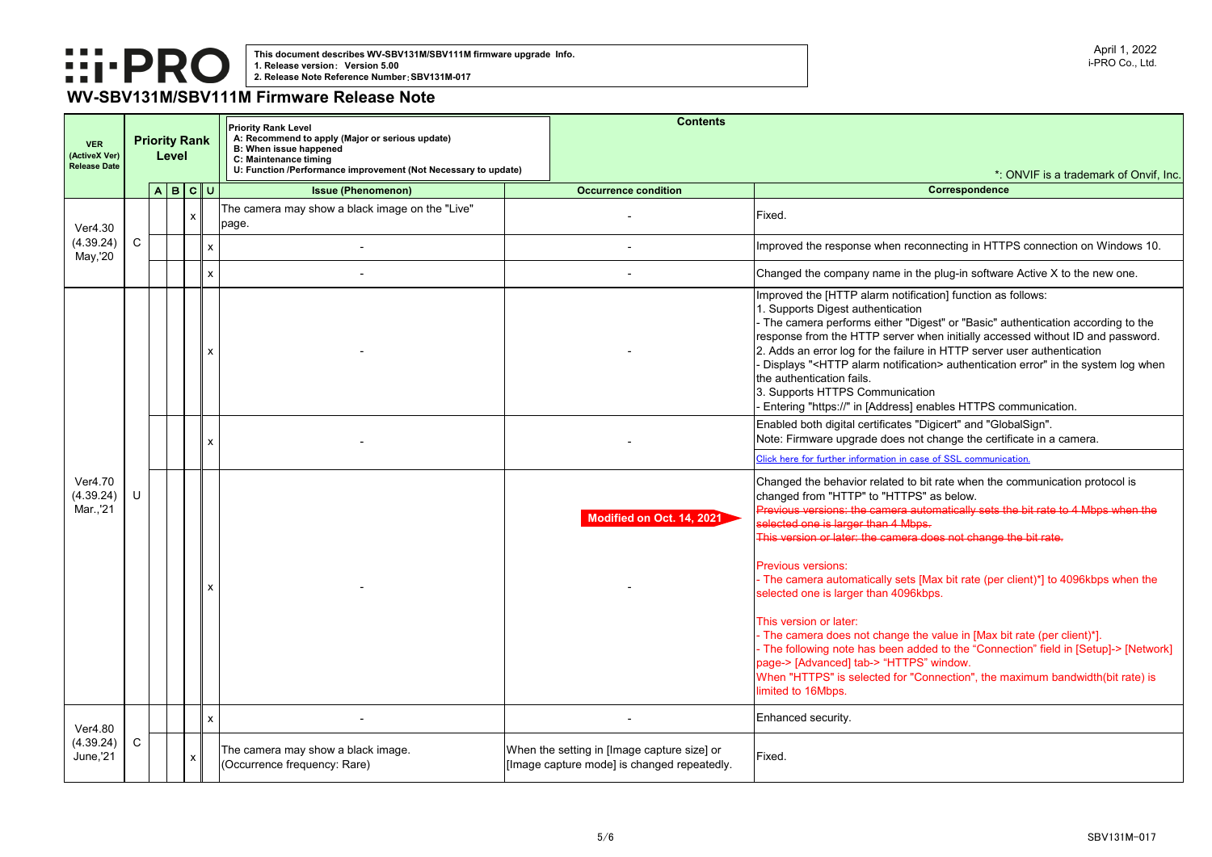#### **Correspondence**

econnecting in HTTPS connection on Windows 10.

the plug-in software Active X to the new one.

fication] function as follows:

Digest" or "Basic" authentication according to the r when initially accessed without ID and password.

Ire in HTTP server user authentication

ation> authentication error" in the system log when

ation

enables HTTPS communication.

"Digicert" and "GlobalSign". not change the certificate in a camera.

case of SSL communication.

o bit rate when the communication protocol is <sup>2</sup>S" as below.

automatically sets the bit rate to 4 Mbps when the

a does not change the bit rate.

s [Max bit rate (per client)\*] to 4096kbps when the 6kbps.

the value in [Max bit rate (per client)\*]. added to the "Connection" field in [Setup]-> [Network] PS" window.

"Connection", the maximum bandwidth(bit rate) is

#### \*: ONVIF is a trademark of Onvif, Inc.



| <b>VER</b><br>(ActiveX Ver)<br><b>Release Date</b> |              | <b>Priority Rank</b><br>Level |                           |                    | <b>Priority Rank Level</b><br>A: Recommend to apply (Major or serious update)<br><b>B: When issue happened</b><br>C: Maintenance timing<br>U: Function /Performance improvement (Not Necessary to update) | <b>Contents</b>                                                                            |                                                                                                                                                                                                                                                                                                                                                                                                                                                                                                |  |  |
|----------------------------------------------------|--------------|-------------------------------|---------------------------|--------------------|-----------------------------------------------------------------------------------------------------------------------------------------------------------------------------------------------------------|--------------------------------------------------------------------------------------------|------------------------------------------------------------------------------------------------------------------------------------------------------------------------------------------------------------------------------------------------------------------------------------------------------------------------------------------------------------------------------------------------------------------------------------------------------------------------------------------------|--|--|
|                                                    |              | A B C  U                      |                           |                    | <b>Issue (Phenomenon)</b>                                                                                                                                                                                 | <b>Occurrence condition</b>                                                                |                                                                                                                                                                                                                                                                                                                                                                                                                                                                                                |  |  |
| <b>Ver4.30</b>                                     |              |                               | $\boldsymbol{\mathsf{x}}$ |                    | The camera may show a black image on the "Live"<br>page.                                                                                                                                                  |                                                                                            | Fixed.                                                                                                                                                                                                                                                                                                                                                                                                                                                                                         |  |  |
| (4.39.24)<br>May, 20                               | C            |                               |                           | X                  |                                                                                                                                                                                                           |                                                                                            | Improved the response when recor                                                                                                                                                                                                                                                                                                                                                                                                                                                               |  |  |
|                                                    |              |                               |                           | $\mathsf{x}$       |                                                                                                                                                                                                           |                                                                                            | Changed the company name in the                                                                                                                                                                                                                                                                                                                                                                                                                                                                |  |  |
|                                                    |              |                               |                           | X                  |                                                                                                                                                                                                           |                                                                                            | Improved the [HTTP alarm notificat<br>1. Supports Digest authentication<br>- The camera performs either "Dige<br>response from the HTTP server wh<br>2. Adds an error log for the failure i<br>Displays " <http alarm="" notificatio<br="">the authentication fails.<br/>3. Supports HTTPS Communication<br/>Entering "https://" in [Address] ena</http>                                                                                                                                       |  |  |
|                                                    |              |                               |                           | X                  |                                                                                                                                                                                                           |                                                                                            | Enabled both digital certificates "Di<br>Note: Firmware upgrade does not o<br>Click here for further information in case                                                                                                                                                                                                                                                                                                                                                                       |  |  |
| Ver4.70<br>(4.39.24)<br>Mar.,'21                   | U            |                               |                           | $\pmb{\mathsf{X}}$ |                                                                                                                                                                                                           | Modified on Oct. 14, 2021                                                                  | Changed the behavior related to bit<br>changed from "HTTP" to "HTTPS"<br>Previous versions: the camera auto<br>selected one is larger than 4 Mbps.<br>This version or later: the camera do<br>Previous versions:<br>- The camera automatically sets [M<br>selected one is larger than 4096kb<br>This version or later:<br>- The camera does not change the<br>- The following note has been adde<br>page-> [Advanced] tab-> "HTTPS"<br>When "HTTPS" is selected for "Cor<br>limited to 16Mbps. |  |  |
| <b>Ver4.80</b>                                     |              |                               |                           | $\mathsf{x}$       |                                                                                                                                                                                                           |                                                                                            | Enhanced security.                                                                                                                                                                                                                                                                                                                                                                                                                                                                             |  |  |
| (4.39.24)<br>June,'21                              | $\mathsf{C}$ |                               | $\pmb{\mathsf{X}}$        |                    | The camera may show a black image.<br>(Occurrence frequency: Rare)                                                                                                                                        | When the setting in [Image capture size] or<br>[Image capture mode] is changed repeatedly. | Fixed.                                                                                                                                                                                                                                                                                                                                                                                                                                                                                         |  |  |